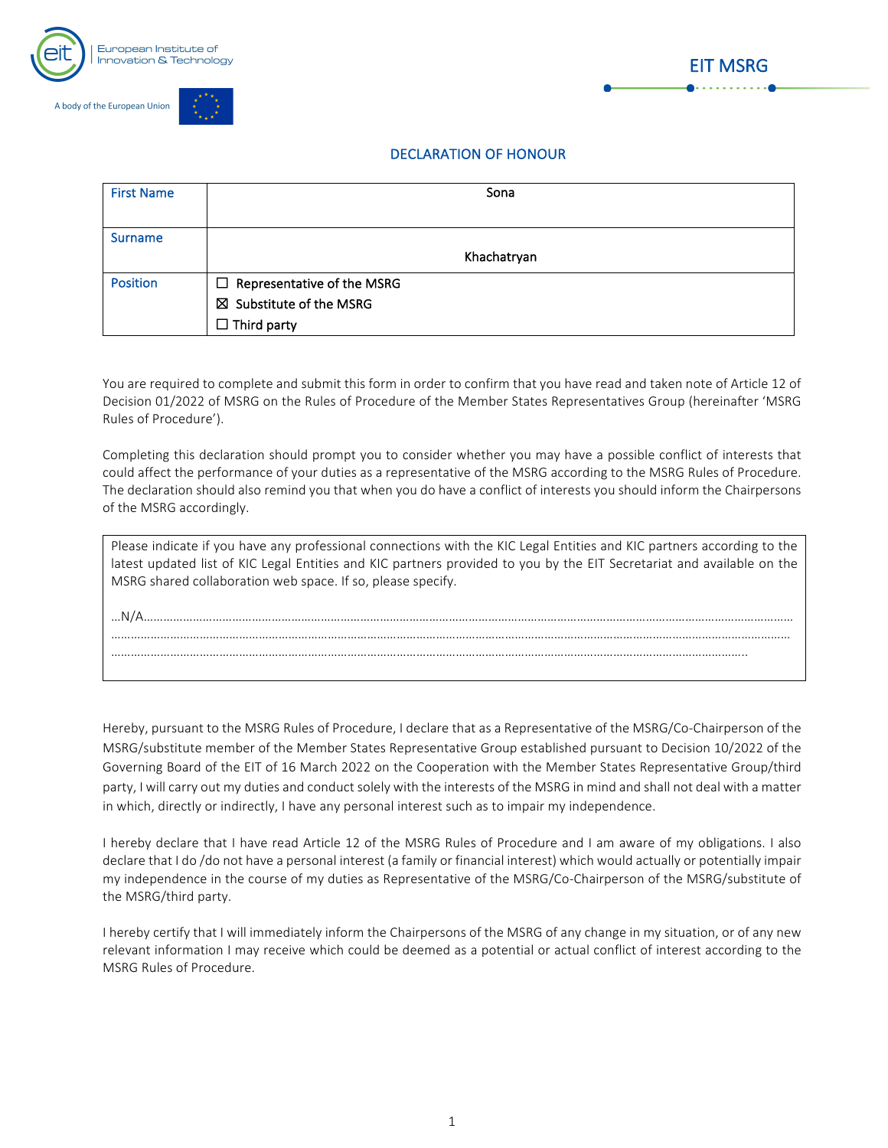







## DECLARATION OF HONOUR

| <b>First Name</b> | Sona                       |
|-------------------|----------------------------|
|                   |                            |
|                   |                            |
|                   |                            |
| <b>Surname</b>    |                            |
|                   |                            |
|                   | Khachatryan                |
|                   |                            |
| <b>Position</b>   | Representative of the MSRG |
|                   |                            |
|                   | ⊠ Substitute of the MSRG   |
|                   |                            |
|                   | $\Box$ Third party         |
|                   |                            |

You are required to complete and submit this form in order to confirm that you have read and taken note of Article 12 of Decision 01/2022 of MSRG on the Rules of Procedure of the Member States Representatives Group (hereinafter 'MSRG Rules of Procedure').

Completing this declaration should prompt you to consider whether you may have a possible conflict of interests that could affect the performance of your duties as a representative of the MSRG according to the MSRG Rules of Procedure. The declaration should also remind you that when you do have a conflict of interests you should inform the Chairpersons of the MSRG accordingly.

| Please indicate if you have any professional connections with the KIC Legal Entities and KIC partners according to the<br>latest updated list of KIC Legal Entities and KIC partners provided to you by the EIT Secretariat and available on the<br>MSRG shared collaboration web space. If so, please specify. |
|-----------------------------------------------------------------------------------------------------------------------------------------------------------------------------------------------------------------------------------------------------------------------------------------------------------------|
|                                                                                                                                                                                                                                                                                                                 |
|                                                                                                                                                                                                                                                                                                                 |
|                                                                                                                                                                                                                                                                                                                 |

Hereby, pursuant to the MSRG Rules of Procedure, I declare that as a Representative of the MSRG/Co-Chairperson of the MSRG/substitute member of the Member States Representative Group established pursuant to Decision 10/2022 of the Governing Board of the EIT of 16 March 2022 on the Cooperation with the Member States Representative Group/third party, I will carry out my duties and conduct solely with the interests of the MSRG in mind and shall not deal with a matter in which, directly or indirectly, I have any personal interest such as to impair my independence.

I hereby declare that I have read Article 12 of the MSRG Rules of Procedure and I am aware of my obligations. I also declare that I do /do not have a personal interest (a family or financial interest) which would actually or potentially impair my independence in the course of my duties as Representative of the MSRG/Co-Chairperson of the MSRG/substitute of the MSRG/third party.

I hereby certify that I will immediately inform the Chairpersons of the MSRG of any change in my situation, or of any new relevant information I may receive which could be deemed as a potential or actual conflict of interest according to the MSRG Rules of Procedure.